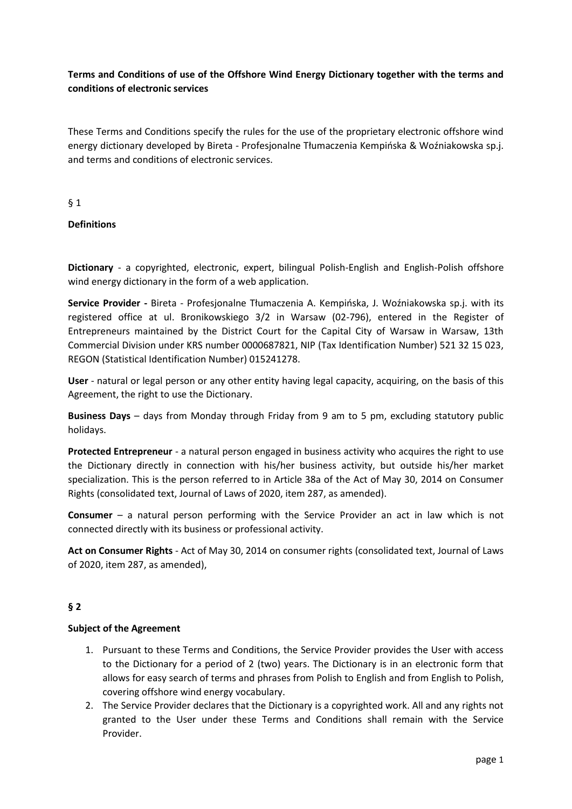## **Terms and Conditions of use of the Offshore Wind Energy Dictionary together with the terms and conditions of electronic services**

These Terms and Conditions specify the rules for the use of the proprietary electronic offshore wind energy dictionary developed by Bireta - Profesjonalne Tłumaczenia Kempińska & Woźniakowska sp.j. and terms and conditions of electronic services.

§ 1

## **Definitions**

**Dictionary** - a copyrighted, electronic, expert, bilingual Polish-English and English-Polish offshore wind energy dictionary in the form of a web application.

**Service Provider -** Bireta - Profesjonalne Tłumaczenia A. Kempińska, J. Woźniakowska sp.j. with its registered office at ul. Bronikowskiego 3/2 in Warsaw (02-796), entered in the Register of Entrepreneurs maintained by the District Court for the Capital City of Warsaw in Warsaw, 13th Commercial Division under KRS number 0000687821, NIP (Tax Identification Number) 521 32 15 023, REGON (Statistical Identification Number) 015241278.

**User** - natural or legal person or any other entity having legal capacity, acquiring, on the basis of this Agreement, the right to use the Dictionary.

**Business Days** – days from Monday through Friday from 9 am to 5 pm, excluding statutory public holidays.

**Protected Entrepreneur** - a natural person engaged in business activity who acquires the right to use the Dictionary directly in connection with his/her business activity, but outside his/her market specialization. This is the person referred to in Article 38a of the Act of May 30, 2014 on Consumer Rights (consolidated text, Journal of Laws of 2020, item 287, as amended).

**Consumer** – a natural person performing with the Service Provider an act in law which is not connected directly with its business or professional activity.

**Act on Consumer Rights** - Act of May 30, 2014 on consumer rights (consolidated text, Journal of Laws of 2020, item 287, as amended),

## **§ 2**

#### **Subject of the Agreement**

- 1. Pursuant to these Terms and Conditions, the Service Provider provides the User with access to the Dictionary for a period of 2 (two) years. The Dictionary is in an electronic form that allows for easy search of terms and phrases from Polish to English and from English to Polish, covering offshore wind energy vocabulary.
- 2. The Service Provider declares that the Dictionary is a copyrighted work. All and any rights not granted to the User under these Terms and Conditions shall remain with the Service Provider.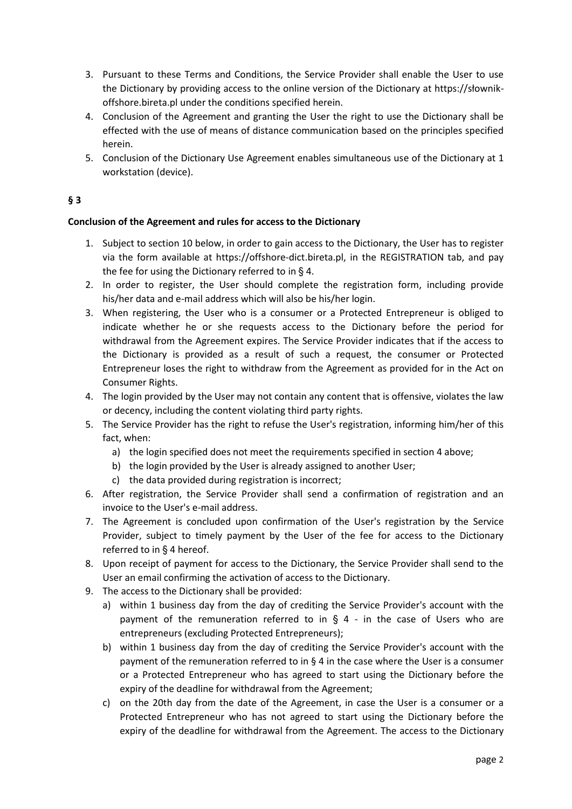- 3. Pursuant to these Terms and Conditions, the Service Provider shall enable the User to use the Dictionary by providing access to the online version of the Dictionary at https://słownikoffshore.bireta.pl under the conditions specified herein.
- 4. Conclusion of the Agreement and granting the User the right to use the Dictionary shall be effected with the use of means of distance communication based on the principles specified herein.
- 5. Conclusion of the Dictionary Use Agreement enables simultaneous use of the Dictionary at 1 workstation (device).

## **§ 3**

### **Conclusion of the Agreement and rules for access to the Dictionary**

- 1. Subject to section 10 below, in order to gain access to the Dictionary, the User has to register via the form available at https://offshore-dict.bireta.pl, in the REGISTRATION tab, and pay the fee for using the Dictionary referred to in § 4.
- 2. In order to register, the User should complete the registration form, including provide his/her data and e-mail address which will also be his/her login.
- 3. When registering, the User who is a consumer or a Protected Entrepreneur is obliged to indicate whether he or she requests access to the Dictionary before the period for withdrawal from the Agreement expires. The Service Provider indicates that if the access to the Dictionary is provided as a result of such a request, the consumer or Protected Entrepreneur loses the right to withdraw from the Agreement as provided for in the Act on Consumer Rights.
- 4. The login provided by the User may not contain any content that is offensive, violates the law or decency, including the content violating third party rights.
- 5. The Service Provider has the right to refuse the User's registration, informing him/her of this fact, when:
	- a) the login specified does not meet the requirements specified in section 4 above;
	- b) the login provided by the User is already assigned to another User;
	- c) the data provided during registration is incorrect;
- 6. After registration, the Service Provider shall send a confirmation of registration and an invoice to the User's e-mail address.
- 7. The Agreement is concluded upon confirmation of the User's registration by the Service Provider, subject to timely payment by the User of the fee for access to the Dictionary referred to in § 4 hereof.
- 8. Upon receipt of payment for access to the Dictionary, the Service Provider shall send to the User an email confirming the activation of access to the Dictionary.
- 9. The access to the Dictionary shall be provided:
	- a) within 1 business day from the day of crediting the Service Provider's account with the payment of the remuneration referred to in  $\S$  4 - in the case of Users who are entrepreneurs (excluding Protected Entrepreneurs);
	- b) within 1 business day from the day of crediting the Service Provider's account with the payment of the remuneration referred to in  $\S$  4 in the case where the User is a consumer or a Protected Entrepreneur who has agreed to start using the Dictionary before the expiry of the deadline for withdrawal from the Agreement;
	- c) on the 20th day from the date of the Agreement, in case the User is a consumer or a Protected Entrepreneur who has not agreed to start using the Dictionary before the expiry of the deadline for withdrawal from the Agreement. The access to the Dictionary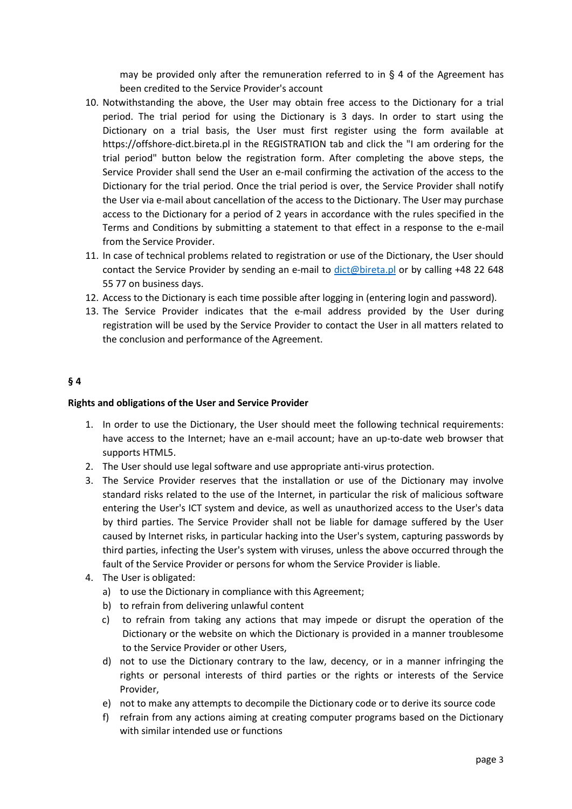may be provided only after the remuneration referred to in  $\S$  4 of the Agreement has been credited to the Service Provider's account

- 10. Notwithstanding the above, the User may obtain free access to the Dictionary for a trial period. The trial period for using the Dictionary is 3 days. In order to start using the Dictionary on a trial basis, the User must first register using the form available at https://offshore-dict.bireta.pl in the REGISTRATION tab and click the "I am ordering for the trial period" button below the registration form. After completing the above steps, the Service Provider shall send the User an e-mail confirming the activation of the access to the Dictionary for the trial period. Once the trial period is over, the Service Provider shall notify the User via e-mail about cancellation of the access to the Dictionary. The User may purchase access to the Dictionary for a period of 2 years in accordance with the rules specified in the Terms and Conditions by submitting a statement to that effect in a response to the e-mail from the Service Provider.
- 11. In case of technical problems related to registration or use of the Dictionary, the User should contact the Service Provider by sending an e-mail to [dict@bireta.pl](mailto:dict@bireta.pl) or by calling +48 22 648 55 77 on business days.
- 12. Access to the Dictionary is each time possible after logging in (entering login and password).
- 13. The Service Provider indicates that the e-mail address provided by the User during registration will be used by the Service Provider to contact the User in all matters related to the conclusion and performance of the Agreement.

### **§ 4**

#### **Rights and obligations of the User and Service Provider**

- 1. In order to use the Dictionary, the User should meet the following technical requirements: have access to the Internet; have an e-mail account; have an up-to-date web browser that supports HTML5.
- 2. The User should use legal software and use appropriate anti-virus protection.
- 3. The Service Provider reserves that the installation or use of the Dictionary may involve standard risks related to the use of the Internet, in particular the risk of malicious software entering the User's ICT system and device, as well as unauthorized access to the User's data by third parties. The Service Provider shall not be liable for damage suffered by the User caused by Internet risks, in particular hacking into the User's system, capturing passwords by third parties, infecting the User's system with viruses, unless the above occurred through the fault of the Service Provider or persons for whom the Service Provider is liable.
- 4. The User is obligated:
	- a) to use the Dictionary in compliance with this Agreement;
	- b) to refrain from delivering unlawful content
	- c) to refrain from taking any actions that may impede or disrupt the operation of the Dictionary or the website on which the Dictionary is provided in a manner troublesome to the Service Provider or other Users,
	- d) not to use the Dictionary contrary to the law, decency, or in a manner infringing the rights or personal interests of third parties or the rights or interests of the Service Provider,
	- e) not to make any attempts to decompile the Dictionary code or to derive its source code
	- f) refrain from any actions aiming at creating computer programs based on the Dictionary with similar intended use or functions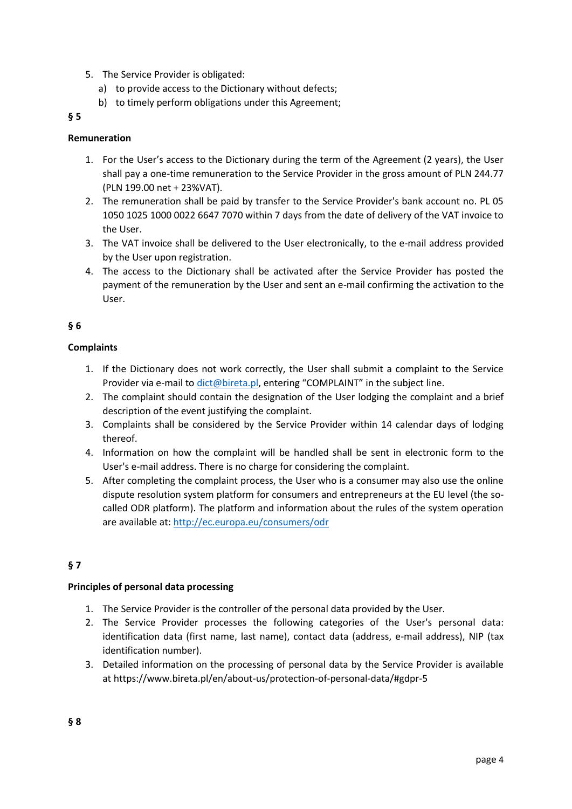- 5. The Service Provider is obligated:
	- a) to provide access to the Dictionary without defects;
	- b) to timely perform obligations under this Agreement;

### **§ 5**

## **Remuneration**

- 1. For the User's access to the Dictionary during the term of the Agreement (2 years), the User shall pay a one-time remuneration to the Service Provider in the gross amount of PLN 244.77 (PLN 199.00 net + 23%VAT).
- 2. The remuneration shall be paid by transfer to the Service Provider's bank account no. PL 05 1050 1025 1000 0022 6647 7070 within 7 days from the date of delivery of the VAT invoice to the User.
- 3. The VAT invoice shall be delivered to the User electronically, to the e-mail address provided by the User upon registration.
- 4. The access to the Dictionary shall be activated after the Service Provider has posted the payment of the remuneration by the User and sent an e-mail confirming the activation to the User.

## **§ 6**

## **Complaints**

- 1. If the Dictionary does not work correctly, the User shall submit a complaint to the Service Provider via e-mail to [dict@bireta.pl](mailto:dict@bireta.pl), entering "COMPLAINT" in the subject line.
- 2. The complaint should contain the designation of the User lodging the complaint and a brief description of the event justifying the complaint.
- 3. Complaints shall be considered by the Service Provider within 14 calendar days of lodging thereof.
- 4. Information on how the complaint will be handled shall be sent in electronic form to the User's e-mail address. There is no charge for considering the complaint.
- 5. After completing the complaint process, the User who is a consumer may also use the online dispute resolution system platform for consumers and entrepreneurs at the EU level (the socalled ODR platform). The platform and information about the rules of the system operation are available at:<http://ec.europa.eu/consumers/odr>

# **§ 7**

## **Principles of personal data processing**

- 1. The Service Provider is the controller of the personal data provided by the User.
- 2. The Service Provider processes the following categories of the User's personal data: identification data (first name, last name), contact data (address, e-mail address), NIP (tax identification number).
- 3. Detailed information on the processing of personal data by the Service Provider is available at https://www.bireta.pl/en/about-us/protection-of-personal-data/#gdpr-5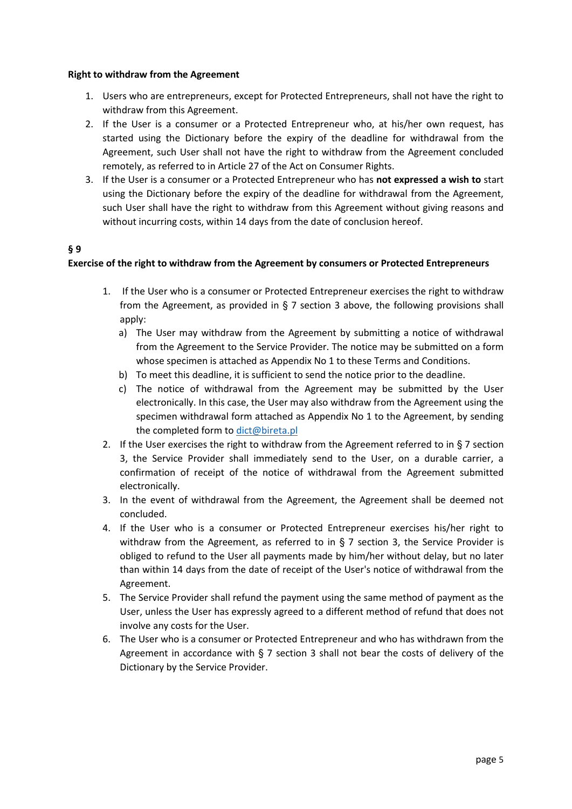#### **Right to withdraw from the Agreement**

- 1. Users who are entrepreneurs, except for Protected Entrepreneurs, shall not have the right to withdraw from this Agreement.
- 2. If the User is a consumer or a Protected Entrepreneur who, at his/her own request, has started using the Dictionary before the expiry of the deadline for withdrawal from the Agreement, such User shall not have the right to withdraw from the Agreement concluded remotely, as referred to in Article 27 of the Act on Consumer Rights.
- 3. If the User is a consumer or a Protected Entrepreneur who has **not expressed a wish to** start using the Dictionary before the expiry of the deadline for withdrawal from the Agreement, such User shall have the right to withdraw from this Agreement without giving reasons and without incurring costs, within 14 days from the date of conclusion hereof.

### **§ 9**

### **Exercise of the right to withdraw from the Agreement by consumers or Protected Entrepreneurs**

- 1. If the User who is a consumer or Protected Entrepreneur exercises the right to withdraw from the Agreement, as provided in  $\S$  7 section 3 above, the following provisions shall apply:
	- a) The User may withdraw from the Agreement by submitting a notice of withdrawal from the Agreement to the Service Provider. The notice may be submitted on a form whose specimen is attached as Appendix No 1 to these Terms and Conditions.
	- b) To meet this deadline, it is sufficient to send the notice prior to the deadline.
	- c) The notice of withdrawal from the Agreement may be submitted by the User electronically. In this case, the User may also withdraw from the Agreement using the specimen withdrawal form attached as Appendix No 1 to the Agreement, by sending the completed form to [dict@bireta.pl](mailto:dict@bireta.pl)
- 2. If the User exercises the right to withdraw from the Agreement referred to in  $\S$  7 section 3, the Service Provider shall immediately send to the User, on a durable carrier, a confirmation of receipt of the notice of withdrawal from the Agreement submitted electronically.
- 3. In the event of withdrawal from the Agreement, the Agreement shall be deemed not concluded.
- 4. If the User who is a consumer or Protected Entrepreneur exercises his/her right to withdraw from the Agreement, as referred to in § 7 section 3, the Service Provider is obliged to refund to the User all payments made by him/her without delay, but no later than within 14 days from the date of receipt of the User's notice of withdrawal from the Agreement.
- 5. The Service Provider shall refund the payment using the same method of payment as the User, unless the User has expressly agreed to a different method of refund that does not involve any costs for the User.
- 6. The User who is a consumer or Protected Entrepreneur and who has withdrawn from the Agreement in accordance with § 7 section 3 shall not bear the costs of delivery of the Dictionary by the Service Provider.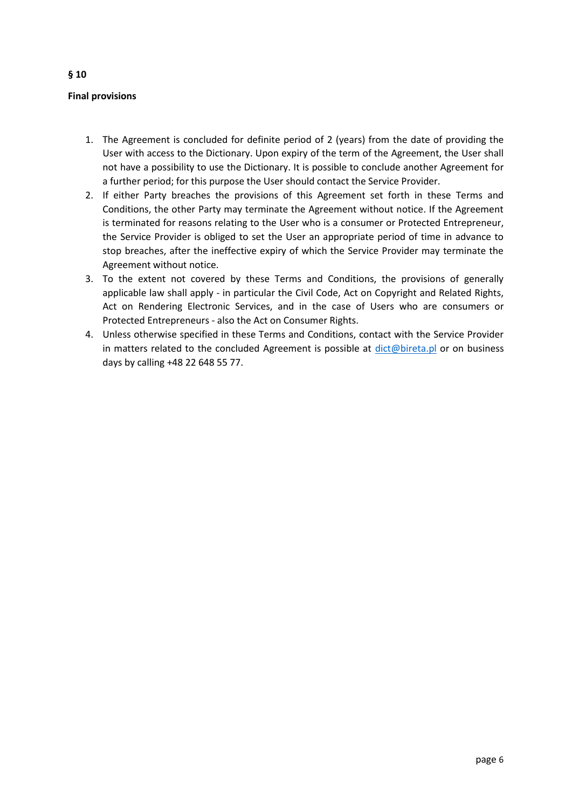## **Final provisions**

- 1. The Agreement is concluded for definite period of 2 (years) from the date of providing the User with access to the Dictionary. Upon expiry of the term of the Agreement, the User shall not have a possibility to use the Dictionary. It is possible to conclude another Agreement for a further period; for this purpose the User should contact the Service Provider.
- 2. If either Party breaches the provisions of this Agreement set forth in these Terms and Conditions, the other Party may terminate the Agreement without notice. If the Agreement is terminated for reasons relating to the User who is a consumer or Protected Entrepreneur, the Service Provider is obliged to set the User an appropriate period of time in advance to stop breaches, after the ineffective expiry of which the Service Provider may terminate the Agreement without notice.
- 3. To the extent not covered by these Terms and Conditions, the provisions of generally applicable law shall apply - in particular the Civil Code, Act on Copyright and Related Rights, Act on Rendering Electronic Services, and in the case of Users who are consumers or Protected Entrepreneurs - also the Act on Consumer Rights.
- 4. Unless otherwise specified in these Terms and Conditions, contact with the Service Provider in matters related to the concluded Agreement is possible at [dict@bireta.pl](mailto:dict@bireta.pl) or on business days by calling +48 22 648 55 77.

page 6

## **§ 10**